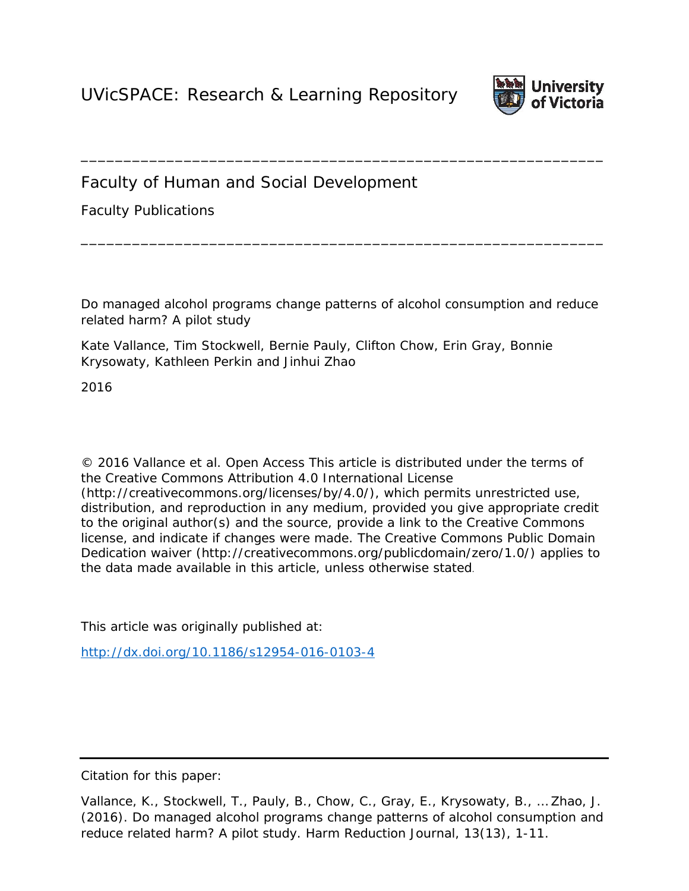

# Faculty of Human and Social Development

Faculty Publications

Do managed alcohol programs change patterns of alcohol consumption and reduce related harm? A pilot study

\_\_\_\_\_\_\_\_\_\_\_\_\_\_\_\_\_\_\_\_\_\_\_\_\_\_\_\_\_\_\_\_\_\_\_\_\_\_\_\_\_\_\_\_\_\_\_\_\_\_\_\_\_\_\_\_\_\_\_\_\_

\_\_\_\_\_\_\_\_\_\_\_\_\_\_\_\_\_\_\_\_\_\_\_\_\_\_\_\_\_\_\_\_\_\_\_\_\_\_\_\_\_\_\_\_\_\_\_\_\_\_\_\_\_\_\_\_\_\_\_\_\_

Kate Vallance, Tim Stockwell, Bernie Pauly, Clifton Chow, Erin Gray, Bonnie Krysowaty, Kathleen Perkin and Jinhui Zhao

2016

© 2016 Vallance et al. Open Access This article is distributed under the terms of the Creative Commons Attribution 4.0 International License (http://creativecommons.org/licenses/by/4.0/), which permits unrestricted use, distribution, and reproduction in any medium, provided you give appropriate credit to the original author(s) and the source, provide a link to the Creative Commons license, and indicate if changes were made. The Creative Commons Public Domain Dedication waiver (http://creativecommons.org/publicdomain/zero/1.0/) applies to the data made available in this article, unless otherwise stated.

This article was originally published at:

<http://dx.doi.org/10.1186/s12954-016-0103-4>

Citation for this paper:

Vallance, K., Stockwell, T., Pauly, B., Chow, C., Gray, E., Krysowaty, B., … Zhao, J. (2016). Do managed alcohol programs change patterns of alcohol consumption and reduce related harm? A pilot study. *Harm Reduction Journal*, 13(13), 1-11.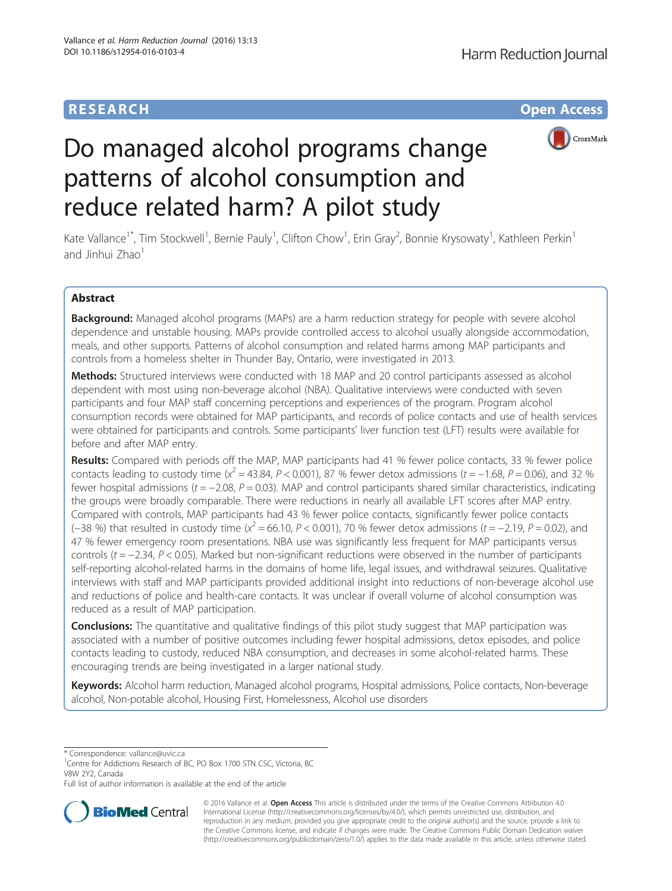# **RESEARCH CHE Open Access**



# Do managed alcohol programs change patterns of alcohol consumption and reduce related harm? A pilot study

Kate Vallance<sup>1\*</sup>, Tim Stockwell<sup>1</sup>, Bernie Pauly<sup>1</sup>, Clifton Chow<sup>1</sup>, Erin Gray<sup>2</sup>, Bonnie Krysowaty<sup>1</sup>, Kathleen Perkin<sup>1</sup> and Jinhui Zhao<sup>1</sup>

# Abstract

**Background:** Managed alcohol programs (MAPs) are a harm reduction strategy for people with severe alcohol dependence and unstable housing. MAPs provide controlled access to alcohol usually alongside accommodation, meals, and other supports. Patterns of alcohol consumption and related harms among MAP participants and controls from a homeless shelter in Thunder Bay, Ontario, were investigated in 2013.

Methods: Structured interviews were conducted with 18 MAP and 20 control participants assessed as alcohol dependent with most using non-beverage alcohol (NBA). Qualitative interviews were conducted with seven participants and four MAP staff concerning perceptions and experiences of the program. Program alcohol consumption records were obtained for MAP participants, and records of police contacts and use of health services were obtained for participants and controls. Some participants' liver function test (LFT) results were available for before and after MAP entry.

Results: Compared with periods off the MAP, MAP participants had 41 % fewer police contacts, 33 % fewer police contacts leading to custody time ( $x^2 = 43.84$ , P < 0.001), 87 % fewer detox admissions (t = -1.68, P = 0.06), and 32 % fewer hospital admissions ( $t = -2.08$ ,  $P = 0.03$ ). MAP and control participants shared similar characteristics, indicating the groups were broadly comparable. There were reductions in nearly all available LFT scores after MAP entry. Compared with controls, MAP participants had 43 % fewer police contacts, significantly fewer police contacts (-38 %) that resulted in custody time ( $x^2$  = 66.10, P < 0.001), 70 % fewer detox admissions (t = -2.19, P = 0.02), and 47 % fewer emergency room presentations. NBA use was significantly less frequent for MAP participants versus controls (t = −2.34, P < 0.05). Marked but non-significant reductions were observed in the number of participants self-reporting alcohol-related harms in the domains of home life, legal issues, and withdrawal seizures. Qualitative interviews with staff and MAP participants provided additional insight into reductions of non-beverage alcohol use and reductions of police and health-care contacts. It was unclear if overall volume of alcohol consumption was reduced as a result of MAP participation.

**Conclusions:** The quantitative and qualitative findings of this pilot study suggest that MAP participation was associated with a number of positive outcomes including fewer hospital admissions, detox episodes, and police contacts leading to custody, reduced NBA consumption, and decreases in some alcohol-related harms. These encouraging trends are being investigated in a larger national study.

Keywords: Alcohol harm reduction, Managed alcohol programs, Hospital admissions, Police contacts, Non-beverage alcohol, Non-potable alcohol, Housing First, Homelessness, Alcohol use disorders

\* Correspondence: [vallance@uvic.ca](mailto:vallance@uvic.ca) <sup>1</sup>

<sup>1</sup>Centre for Addictions Research of BC, PO Box 1700 STN CSC, Victoria, BC V8W 2Y2, Canada

Full list of author information is available at the end of the article



© 2016 Vallance et al. **Open Access** This article is distributed under the terms of the Creative Commons Attribution 4.0 International License [\(http://creativecommons.org/licenses/by/4.0/](http://creativecommons.org/licenses/by/4.0/)), which permits unrestricted use, distribution, and reproduction in any medium, provided you give appropriate credit to the original author(s) and the source, provide a link to the Creative Commons license, and indicate if changes were made. The Creative Commons Public Domain Dedication waiver [\(http://creativecommons.org/publicdomain/zero/1.0/](http://creativecommons.org/publicdomain/zero/1.0/)) applies to the data made available in this article, unless otherwise stated.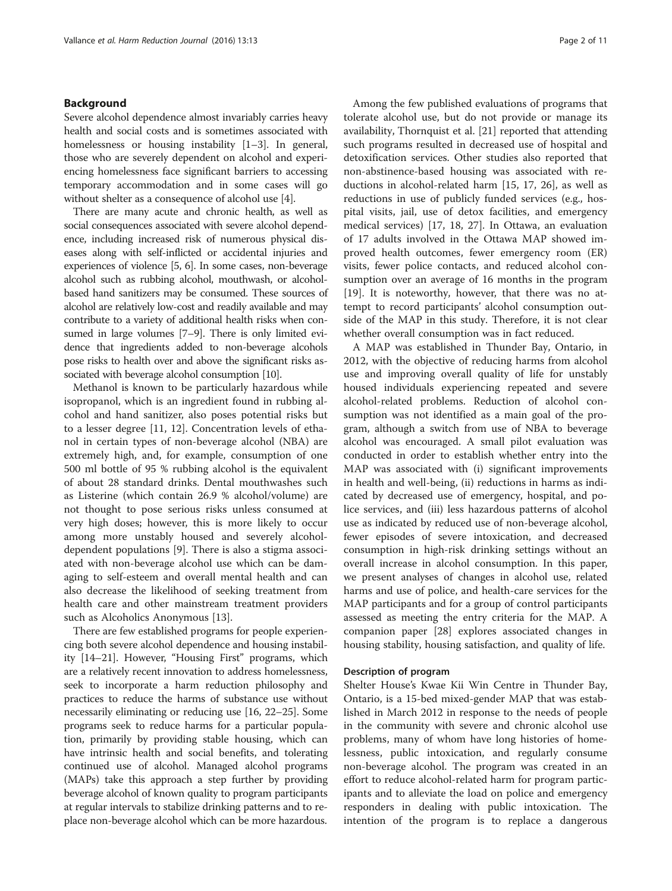# Background

Severe alcohol dependence almost invariably carries heavy health and social costs and is sometimes associated with homelessness or housing instability [[1](#page-10-0)–[3](#page-10-0)]. In general, those who are severely dependent on alcohol and experiencing homelessness face significant barriers to accessing temporary accommodation and in some cases will go without shelter as a consequence of alcohol use [\[4](#page-10-0)].

There are many acute and chronic health, as well as social consequences associated with severe alcohol dependence, including increased risk of numerous physical diseases along with self-inflicted or accidental injuries and experiences of violence [\[5, 6\]](#page-10-0). In some cases, non-beverage alcohol such as rubbing alcohol, mouthwash, or alcoholbased hand sanitizers may be consumed. These sources of alcohol are relatively low-cost and readily available and may contribute to a variety of additional health risks when consumed in large volumes [[7](#page-10-0)–[9\]](#page-11-0). There is only limited evidence that ingredients added to non-beverage alcohols pose risks to health over and above the significant risks associated with beverage alcohol consumption [\[10\]](#page-11-0).

Methanol is known to be particularly hazardous while isopropanol, which is an ingredient found in rubbing alcohol and hand sanitizer, also poses potential risks but to a lesser degree [[11, 12](#page-11-0)]. Concentration levels of ethanol in certain types of non-beverage alcohol (NBA) are extremely high, and, for example, consumption of one 500 ml bottle of 95 % rubbing alcohol is the equivalent of about 28 standard drinks. Dental mouthwashes such as Listerine (which contain 26.9 % alcohol/volume) are not thought to pose serious risks unless consumed at very high doses; however, this is more likely to occur among more unstably housed and severely alcoholdependent populations [[9\]](#page-11-0). There is also a stigma associated with non-beverage alcohol use which can be damaging to self-esteem and overall mental health and can also decrease the likelihood of seeking treatment from health care and other mainstream treatment providers such as Alcoholics Anonymous [\[13\]](#page-11-0).

There are few established programs for people experiencing both severe alcohol dependence and housing instability [[14](#page-11-0)–[21\]](#page-11-0). However, "Housing First" programs, which are a relatively recent innovation to address homelessness, seek to incorporate a harm reduction philosophy and practices to reduce the harms of substance use without necessarily eliminating or reducing use [\[16, 22](#page-11-0)–[25\]](#page-11-0). Some programs seek to reduce harms for a particular population, primarily by providing stable housing, which can have intrinsic health and social benefits, and tolerating continued use of alcohol. Managed alcohol programs (MAPs) take this approach a step further by providing beverage alcohol of known quality to program participants at regular intervals to stabilize drinking patterns and to replace non-beverage alcohol which can be more hazardous.

Among the few published evaluations of programs that tolerate alcohol use, but do not provide or manage its availability, Thornquist et al. [\[21](#page-11-0)] reported that attending such programs resulted in decreased use of hospital and detoxification services. Other studies also reported that non-abstinence-based housing was associated with reductions in alcohol-related harm [\[15, 17, 26](#page-11-0)], as well as reductions in use of publicly funded services (e.g., hospital visits, jail, use of detox facilities, and emergency medical services) [[17](#page-11-0), [18, 27\]](#page-11-0). In Ottawa, an evaluation of 17 adults involved in the Ottawa MAP showed improved health outcomes, fewer emergency room (ER) visits, fewer police contacts, and reduced alcohol consumption over an average of 16 months in the program [[19\]](#page-11-0). It is noteworthy, however, that there was no attempt to record participants' alcohol consumption outside of the MAP in this study. Therefore, it is not clear whether overall consumption was in fact reduced.

A MAP was established in Thunder Bay, Ontario, in 2012, with the objective of reducing harms from alcohol use and improving overall quality of life for unstably housed individuals experiencing repeated and severe alcohol-related problems. Reduction of alcohol consumption was not identified as a main goal of the program, although a switch from use of NBA to beverage alcohol was encouraged. A small pilot evaluation was conducted in order to establish whether entry into the MAP was associated with (i) significant improvements in health and well-being, (ii) reductions in harms as indicated by decreased use of emergency, hospital, and police services, and (iii) less hazardous patterns of alcohol use as indicated by reduced use of non-beverage alcohol, fewer episodes of severe intoxication, and decreased consumption in high-risk drinking settings without an overall increase in alcohol consumption. In this paper, we present analyses of changes in alcohol use, related harms and use of police, and health-care services for the MAP participants and for a group of control participants assessed as meeting the entry criteria for the MAP. A companion paper [[28\]](#page-11-0) explores associated changes in housing stability, housing satisfaction, and quality of life.

#### Description of program

Shelter House's Kwae Kii Win Centre in Thunder Bay, Ontario, is a 15-bed mixed-gender MAP that was established in March 2012 in response to the needs of people in the community with severe and chronic alcohol use problems, many of whom have long histories of homelessness, public intoxication, and regularly consume non-beverage alcohol. The program was created in an effort to reduce alcohol-related harm for program participants and to alleviate the load on police and emergency responders in dealing with public intoxication. The intention of the program is to replace a dangerous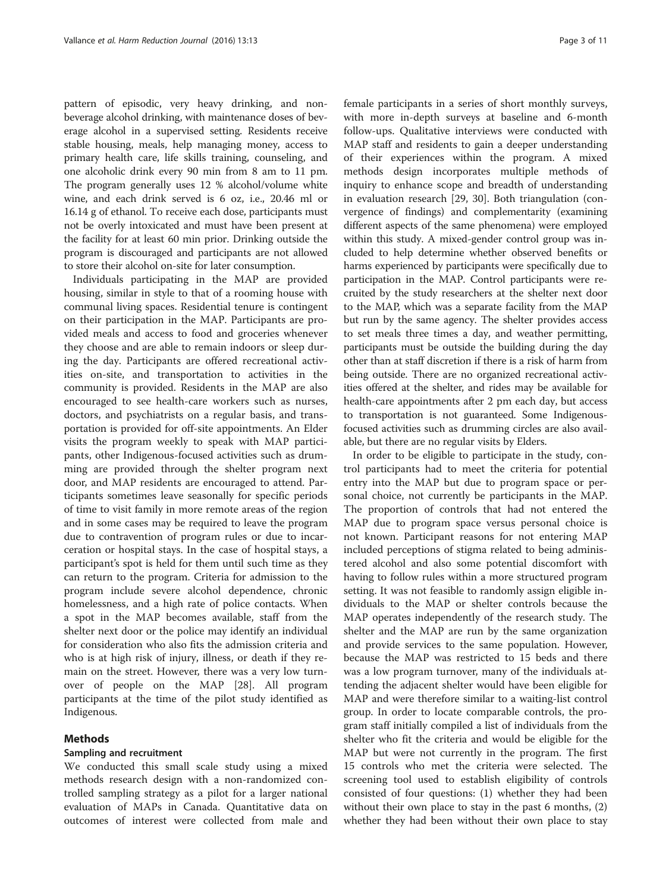pattern of episodic, very heavy drinking, and nonbeverage alcohol drinking, with maintenance doses of beverage alcohol in a supervised setting. Residents receive stable housing, meals, help managing money, access to primary health care, life skills training, counseling, and one alcoholic drink every 90 min from 8 am to 11 pm. The program generally uses 12 % alcohol/volume white wine, and each drink served is 6 oz, i.e., 20.46 ml or 16.14 g of ethanol. To receive each dose, participants must not be overly intoxicated and must have been present at the facility for at least 60 min prior. Drinking outside the program is discouraged and participants are not allowed to store their alcohol on-site for later consumption.

Individuals participating in the MAP are provided housing, similar in style to that of a rooming house with communal living spaces. Residential tenure is contingent on their participation in the MAP. Participants are provided meals and access to food and groceries whenever they choose and are able to remain indoors or sleep during the day. Participants are offered recreational activities on-site, and transportation to activities in the community is provided. Residents in the MAP are also encouraged to see health-care workers such as nurses, doctors, and psychiatrists on a regular basis, and transportation is provided for off-site appointments. An Elder visits the program weekly to speak with MAP participants, other Indigenous-focused activities such as drumming are provided through the shelter program next door, and MAP residents are encouraged to attend. Participants sometimes leave seasonally for specific periods of time to visit family in more remote areas of the region and in some cases may be required to leave the program due to contravention of program rules or due to incarceration or hospital stays. In the case of hospital stays, a participant's spot is held for them until such time as they can return to the program. Criteria for admission to the program include severe alcohol dependence, chronic homelessness, and a high rate of police contacts. When a spot in the MAP becomes available, staff from the shelter next door or the police may identify an individual for consideration who also fits the admission criteria and who is at high risk of injury, illness, or death if they remain on the street. However, there was a very low turnover of people on the MAP [[28](#page-11-0)]. All program participants at the time of the pilot study identified as Indigenous.

### Methods

#### Sampling and recruitment

We conducted this small scale study using a mixed methods research design with a non-randomized controlled sampling strategy as a pilot for a larger national evaluation of MAPs in Canada. Quantitative data on outcomes of interest were collected from male and female participants in a series of short monthly surveys, with more in-depth surveys at baseline and 6-month follow-ups. Qualitative interviews were conducted with MAP staff and residents to gain a deeper understanding of their experiences within the program. A mixed methods design incorporates multiple methods of inquiry to enhance scope and breadth of understanding in evaluation research [\[29, 30\]](#page-11-0). Both triangulation (convergence of findings) and complementarity (examining different aspects of the same phenomena) were employed within this study. A mixed-gender control group was included to help determine whether observed benefits or harms experienced by participants were specifically due to participation in the MAP. Control participants were recruited by the study researchers at the shelter next door to the MAP, which was a separate facility from the MAP but run by the same agency. The shelter provides access to set meals three times a day, and weather permitting, participants must be outside the building during the day other than at staff discretion if there is a risk of harm from being outside. There are no organized recreational activities offered at the shelter, and rides may be available for health-care appointments after 2 pm each day, but access

able, but there are no regular visits by Elders. In order to be eligible to participate in the study, control participants had to meet the criteria for potential entry into the MAP but due to program space or personal choice, not currently be participants in the MAP. The proportion of controls that had not entered the MAP due to program space versus personal choice is not known. Participant reasons for not entering MAP included perceptions of stigma related to being administered alcohol and also some potential discomfort with having to follow rules within a more structured program setting. It was not feasible to randomly assign eligible individuals to the MAP or shelter controls because the MAP operates independently of the research study. The shelter and the MAP are run by the same organization and provide services to the same population. However, because the MAP was restricted to 15 beds and there was a low program turnover, many of the individuals attending the adjacent shelter would have been eligible for MAP and were therefore similar to a waiting-list control group. In order to locate comparable controls, the program staff initially compiled a list of individuals from the shelter who fit the criteria and would be eligible for the MAP but were not currently in the program. The first 15 controls who met the criteria were selected. The screening tool used to establish eligibility of controls consisted of four questions: (1) whether they had been without their own place to stay in the past 6 months, (2) whether they had been without their own place to stay

to transportation is not guaranteed. Some Indigenousfocused activities such as drumming circles are also avail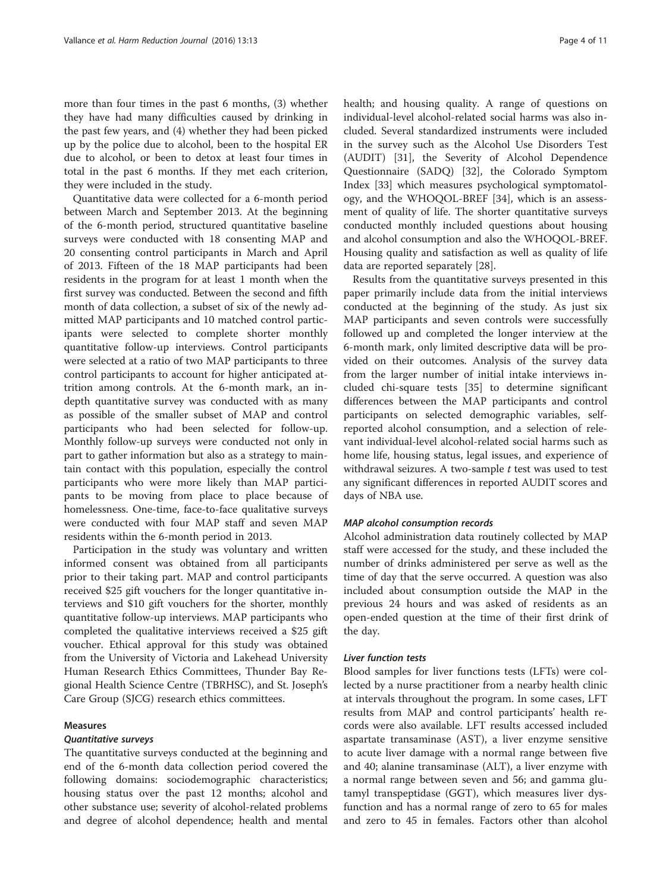more than four times in the past 6 months, (3) whether they have had many difficulties caused by drinking in the past few years, and (4) whether they had been picked up by the police due to alcohol, been to the hospital ER due to alcohol, or been to detox at least four times in total in the past 6 months. If they met each criterion, they were included in the study.

Quantitative data were collected for a 6-month period between March and September 2013. At the beginning of the 6-month period, structured quantitative baseline surveys were conducted with 18 consenting MAP and 20 consenting control participants in March and April of 2013. Fifteen of the 18 MAP participants had been residents in the program for at least 1 month when the first survey was conducted. Between the second and fifth month of data collection, a subset of six of the newly admitted MAP participants and 10 matched control participants were selected to complete shorter monthly quantitative follow-up interviews. Control participants were selected at a ratio of two MAP participants to three control participants to account for higher anticipated attrition among controls. At the 6-month mark, an indepth quantitative survey was conducted with as many as possible of the smaller subset of MAP and control participants who had been selected for follow-up. Monthly follow-up surveys were conducted not only in part to gather information but also as a strategy to maintain contact with this population, especially the control participants who were more likely than MAP participants to be moving from place to place because of homelessness. One-time, face-to-face qualitative surveys were conducted with four MAP staff and seven MAP residents within the 6-month period in 2013.

Participation in the study was voluntary and written informed consent was obtained from all participants prior to their taking part. MAP and control participants received \$25 gift vouchers for the longer quantitative interviews and \$10 gift vouchers for the shorter, monthly quantitative follow-up interviews. MAP participants who completed the qualitative interviews received a \$25 gift voucher. Ethical approval for this study was obtained from the University of Victoria and Lakehead University Human Research Ethics Committees, Thunder Bay Regional Health Science Centre (TBRHSC), and St. Joseph's Care Group (SJCG) research ethics committees.

#### Measures

#### Quantitative surveys

The quantitative surveys conducted at the beginning and end of the 6-month data collection period covered the following domains: sociodemographic characteristics; housing status over the past 12 months; alcohol and other substance use; severity of alcohol-related problems and degree of alcohol dependence; health and mental health; and housing quality. A range of questions on individual-level alcohol-related social harms was also included. Several standardized instruments were included in the survey such as the Alcohol Use Disorders Test (AUDIT) [\[31](#page-11-0)], the Severity of Alcohol Dependence Questionnaire (SADQ) [[32\]](#page-11-0), the Colorado Symptom Index [\[33\]](#page-11-0) which measures psychological symptomatology, and the WHOQOL-BREF [[34\]](#page-11-0), which is an assessment of quality of life. The shorter quantitative surveys conducted monthly included questions about housing and alcohol consumption and also the WHOQOL-BREF. Housing quality and satisfaction as well as quality of life data are reported separately [[28](#page-11-0)].

Results from the quantitative surveys presented in this paper primarily include data from the initial interviews conducted at the beginning of the study. As just six MAP participants and seven controls were successfully followed up and completed the longer interview at the 6-month mark, only limited descriptive data will be provided on their outcomes. Analysis of the survey data from the larger number of initial intake interviews included chi-square tests [\[35\]](#page-11-0) to determine significant differences between the MAP participants and control participants on selected demographic variables, selfreported alcohol consumption, and a selection of relevant individual-level alcohol-related social harms such as home life, housing status, legal issues, and experience of withdrawal seizures. A two-sample  $t$  test was used to test any significant differences in reported AUDIT scores and days of NBA use.

#### MAP alcohol consumption records

Alcohol administration data routinely collected by MAP staff were accessed for the study, and these included the number of drinks administered per serve as well as the time of day that the serve occurred. A question was also included about consumption outside the MAP in the previous 24 hours and was asked of residents as an open-ended question at the time of their first drink of the day.

#### Liver function tests

Blood samples for liver functions tests (LFTs) were collected by a nurse practitioner from a nearby health clinic at intervals throughout the program. In some cases, LFT results from MAP and control participants' health records were also available. LFT results accessed included aspartate transaminase (AST), a liver enzyme sensitive to acute liver damage with a normal range between five and 40; alanine transaminase (ALT), a liver enzyme with a normal range between seven and 56; and gamma glutamyl transpeptidase (GGT), which measures liver dysfunction and has a normal range of zero to 65 for males and zero to 45 in females. Factors other than alcohol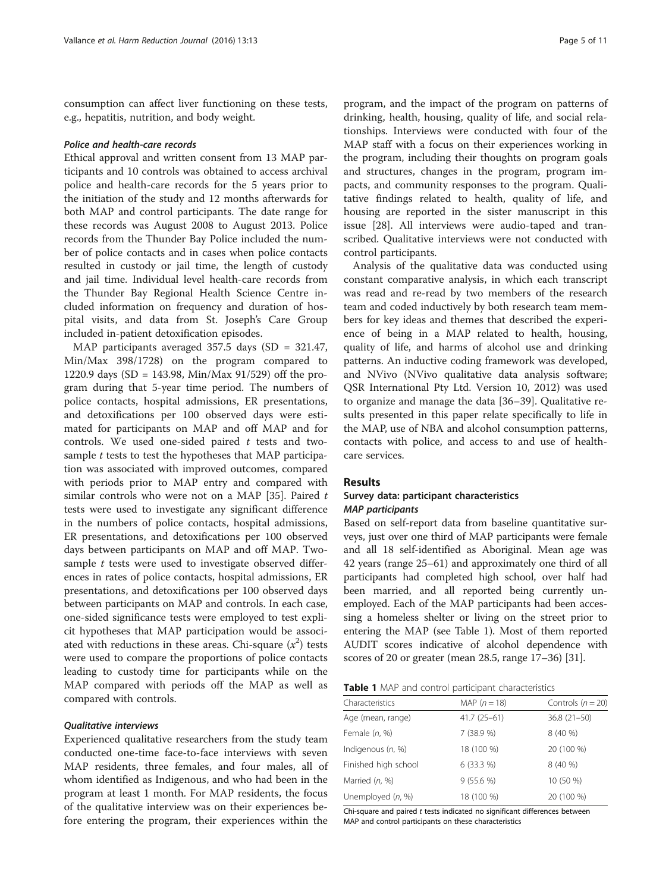<span id="page-5-0"></span>consumption can affect liver functioning on these tests, e.g., hepatitis, nutrition, and body weight.

#### Police and health-care records

Ethical approval and written consent from 13 MAP participants and 10 controls was obtained to access archival police and health-care records for the 5 years prior to the initiation of the study and 12 months afterwards for both MAP and control participants. The date range for these records was August 2008 to August 2013. Police records from the Thunder Bay Police included the number of police contacts and in cases when police contacts resulted in custody or jail time, the length of custody and jail time. Individual level health-care records from the Thunder Bay Regional Health Science Centre included information on frequency and duration of hospital visits, and data from St. Joseph's Care Group included in-patient detoxification episodes.

MAP participants averaged 357.5 days (SD = 321.47, Min/Max 398/1728) on the program compared to 1220.9 days (SD = 143.98, Min/Max 91/529) off the program during that 5-year time period. The numbers of police contacts, hospital admissions, ER presentations, and detoxifications per 100 observed days were estimated for participants on MAP and off MAP and for controls. We used one-sided paired  $t$  tests and twosample  $t$  tests to test the hypotheses that MAP participation was associated with improved outcomes, compared with periods prior to MAP entry and compared with similar controls who were not on a MAP [[35\]](#page-11-0). Paired t tests were used to investigate any significant difference in the numbers of police contacts, hospital admissions, ER presentations, and detoxifications per 100 observed days between participants on MAP and off MAP. Twosample t tests were used to investigate observed differences in rates of police contacts, hospital admissions, ER presentations, and detoxifications per 100 observed days between participants on MAP and controls. In each case, one-sided significance tests were employed to test explicit hypotheses that MAP participation would be associated with reductions in these areas. Chi-square  $(x^2)$  tests were used to compare the proportions of police contacts leading to custody time for participants while on the MAP compared with periods off the MAP as well as compared with controls.

#### Qualitative interviews

Experienced qualitative researchers from the study team conducted one-time face-to-face interviews with seven MAP residents, three females, and four males, all of whom identified as Indigenous, and who had been in the program at least 1 month. For MAP residents, the focus of the qualitative interview was on their experiences before entering the program, their experiences within the

program, and the impact of the program on patterns of drinking, health, housing, quality of life, and social relationships. Interviews were conducted with four of the MAP staff with a focus on their experiences working in the program, including their thoughts on program goals and structures, changes in the program, program impacts, and community responses to the program. Qualitative findings related to health, quality of life, and housing are reported in the sister manuscript in this issue [\[28](#page-11-0)]. All interviews were audio-taped and transcribed. Qualitative interviews were not conducted with control participants.

Analysis of the qualitative data was conducted using constant comparative analysis, in which each transcript was read and re-read by two members of the research team and coded inductively by both research team members for key ideas and themes that described the experience of being in a MAP related to health, housing, quality of life, and harms of alcohol use and drinking patterns. An inductive coding framework was developed, and NVivo (NVivo qualitative data analysis software; QSR International Pty Ltd. Version 10, 2012) was used to organize and manage the data [\[36](#page-11-0)–[39\]](#page-11-0). Qualitative results presented in this paper relate specifically to life in the MAP, use of NBA and alcohol consumption patterns, contacts with police, and access to and use of healthcare services.

#### Results

# Survey data: participant characteristics MAP participants

Based on self-report data from baseline quantitative surveys, just over one third of MAP participants were female and all 18 self-identified as Aboriginal. Mean age was 42 years (range 25–61) and approximately one third of all participants had completed high school, over half had been married, and all reported being currently unemployed. Each of the MAP participants had been accessing a homeless shelter or living on the street prior to entering the MAP (see Table 1). Most of them reported AUDIT scores indicative of alcohol dependence with scores of 20 or greater (mean 28.5, range 17–36) [\[31\]](#page-11-0).

|  |  |  |  |  |  | Table 1 MAP and control participant characteristics |
|--|--|--|--|--|--|-----------------------------------------------------|
|--|--|--|--|--|--|-----------------------------------------------------|

| Characteristics      | MAP $(n = 18)$ | Controls $(n = 20)$ |
|----------------------|----------------|---------------------|
| Age (mean, range)    | $41.7(25-61)$  | $36.8(21-50)$       |
| Female $(n, %)$      | 7 (38.9 %)     | 8 (40 %)            |
| Indigenous (n, %)    | 18 (100 %)     | 20 (100 %)          |
| Finished high school | 6 (33.3 %)     | 8 (40 %)            |
| Married (n, %)       | 9(55.6%        | 10 (50 %)           |
| Unemployed (n, %)    | 18 (100 %)     | 20 (100 %)          |

Chi-square and paired t tests indicated no significant differences between MAP and control participants on these characteristics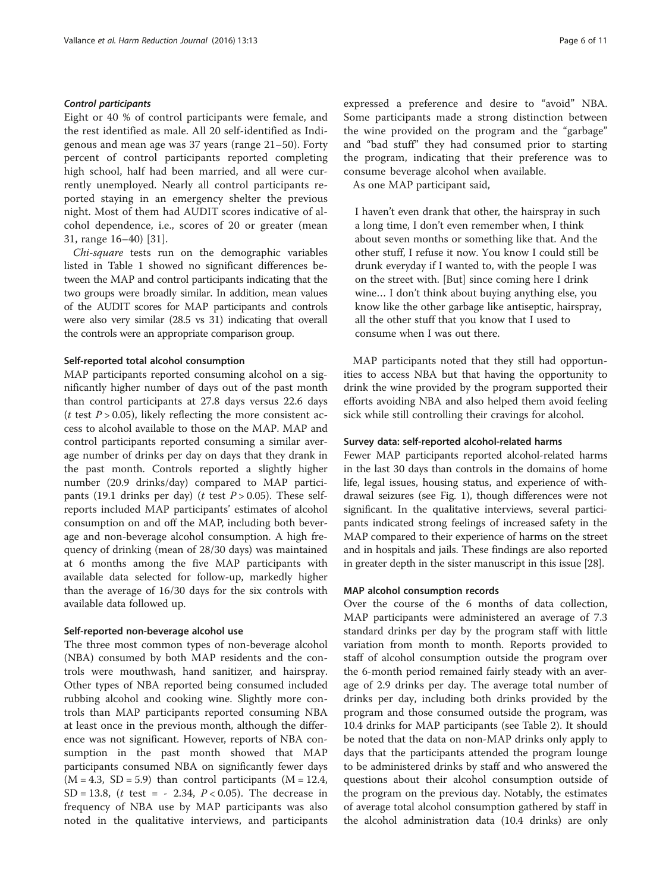# Control participants

Eight or 40 % of control participants were female, and the rest identified as male. All 20 self-identified as Indigenous and mean age was 37 years (range 21–50). Forty percent of control participants reported completing high school, half had been married, and all were currently unemployed. Nearly all control participants reported staying in an emergency shelter the previous night. Most of them had AUDIT scores indicative of alcohol dependence, i.e., scores of 20 or greater (mean 31, range 16–40) [\[31](#page-11-0)].

Chi-square tests run on the demographic variables listed in Table [1](#page-5-0) showed no significant differences between the MAP and control participants indicating that the two groups were broadly similar. In addition, mean values of the AUDIT scores for MAP participants and controls were also very similar (28.5 vs 31) indicating that overall the controls were an appropriate comparison group.

#### Self-reported total alcohol consumption

MAP participants reported consuming alcohol on a significantly higher number of days out of the past month than control participants at 27.8 days versus 22.6 days (*t* test  $P > 0.05$ ), likely reflecting the more consistent access to alcohol available to those on the MAP. MAP and control participants reported consuming a similar average number of drinks per day on days that they drank in the past month. Controls reported a slightly higher number (20.9 drinks/day) compared to MAP participants (19.1 drinks per day) (*t* test  $P > 0.05$ ). These selfreports included MAP participants' estimates of alcohol consumption on and off the MAP, including both beverage and non-beverage alcohol consumption. A high frequency of drinking (mean of 28/30 days) was maintained at 6 months among the five MAP participants with available data selected for follow-up, markedly higher than the average of 16/30 days for the six controls with available data followed up.

#### Self-reported non-beverage alcohol use

The three most common types of non-beverage alcohol (NBA) consumed by both MAP residents and the controls were mouthwash, hand sanitizer, and hairspray. Other types of NBA reported being consumed included rubbing alcohol and cooking wine. Slightly more controls than MAP participants reported consuming NBA at least once in the previous month, although the difference was not significant. However, reports of NBA consumption in the past month showed that MAP participants consumed NBA on significantly fewer days  $(M = 4.3, SD = 5.9)$  than control participants  $(M = 12.4,$ SD = 13.8, (*t* test =  $-$  2.34, *P* < 0.05). The decrease in frequency of NBA use by MAP participants was also noted in the qualitative interviews, and participants expressed a preference and desire to "avoid" NBA. Some participants made a strong distinction between the wine provided on the program and the "garbage" and "bad stuff" they had consumed prior to starting the program, indicating that their preference was to consume beverage alcohol when available.

As one MAP participant said,

I haven't even drank that other, the hairspray in such a long time, I don't even remember when, I think about seven months or something like that. And the other stuff, I refuse it now. You know I could still be drunk everyday if I wanted to, with the people I was on the street with. [But] since coming here I drink wine… I don't think about buying anything else, you know like the other garbage like antiseptic, hairspray, all the other stuff that you know that I used to consume when I was out there.

MAP participants noted that they still had opportunities to access NBA but that having the opportunity to drink the wine provided by the program supported their efforts avoiding NBA and also helped them avoid feeling sick while still controlling their cravings for alcohol.

#### Survey data: self-reported alcohol-related harms

Fewer MAP participants reported alcohol-related harms in the last 30 days than controls in the domains of home life, legal issues, housing status, and experience of withdrawal seizures (see Fig. [1](#page-7-0)), though differences were not significant. In the qualitative interviews, several participants indicated strong feelings of increased safety in the MAP compared to their experience of harms on the street and in hospitals and jails. These findings are also reported in greater depth in the sister manuscript in this issue [[28](#page-11-0)].

#### MAP alcohol consumption records

Over the course of the 6 months of data collection, MAP participants were administered an average of 7.3 standard drinks per day by the program staff with little variation from month to month. Reports provided to staff of alcohol consumption outside the program over the 6-month period remained fairly steady with an average of 2.9 drinks per day. The average total number of drinks per day, including both drinks provided by the program and those consumed outside the program, was 10.4 drinks for MAP participants (see Table [2](#page-7-0)). It should be noted that the data on non-MAP drinks only apply to days that the participants attended the program lounge to be administered drinks by staff and who answered the questions about their alcohol consumption outside of the program on the previous day. Notably, the estimates of average total alcohol consumption gathered by staff in the alcohol administration data (10.4 drinks) are only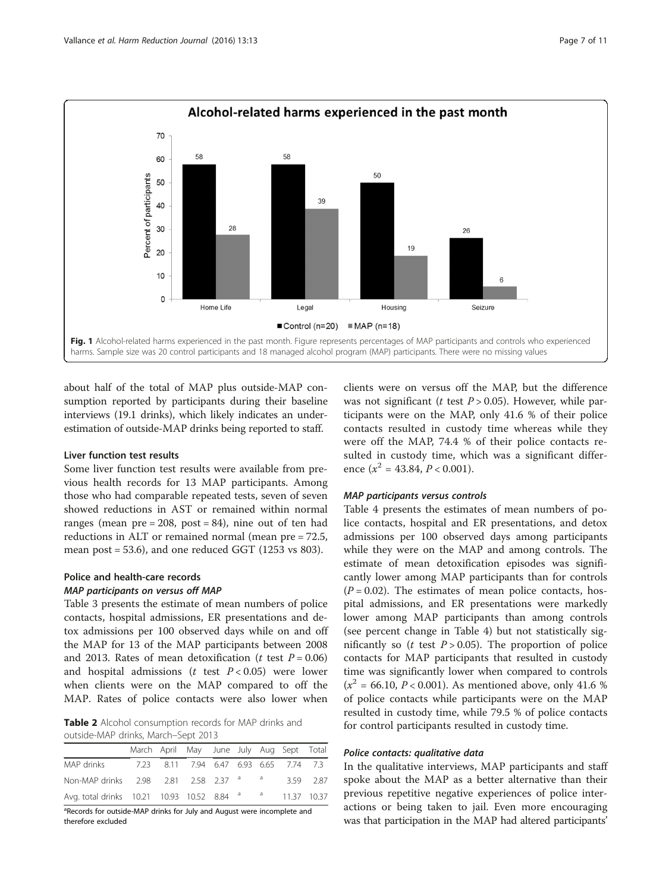<span id="page-7-0"></span>

about half of the total of MAP plus outside-MAP consumption reported by participants during their baseline interviews (19.1 drinks), which likely indicates an underestimation of outside-MAP drinks being reported to staff.

### Liver function test results

Some liver function test results were available from previous health records for 13 MAP participants. Among those who had comparable repeated tests, seven of seven showed reductions in AST or remained within normal ranges (mean  $pre = 208$ , post = 84), nine out of ten had reductions in ALT or remained normal (mean pre = 72.5, mean post  $= 53.6$ ), and one reduced GGT (1253 vs 803).

# Police and health-care records

# MAP participants on versus off MAP

Table [3](#page-8-0) presents the estimate of mean numbers of police contacts, hospital admissions, ER presentations and detox admissions per 100 observed days while on and off the MAP for 13 of the MAP participants between 2008 and 2013. Rates of mean detoxification (*t* test  $P = 0.06$ ) and hospital admissions ( $t$  test  $P < 0.05$ ) were lower when clients were on the MAP compared to off the MAP. Rates of police contacts were also lower when

Table 2 Alcohol consumption records for MAP drinks and outside-MAP drinks, March–Sept 2013

|                                                   | March April May June July Aug Sept Total |  |  |             |           |
|---------------------------------------------------|------------------------------------------|--|--|-------------|-----------|
| MAP drinks 7.23 8.11 7.94 6.47 6.93 6.65 7.74 7.3 |                                          |  |  |             |           |
| Non-MAP drinks 2.98 2.81 2.58 2.37 a a            |                                          |  |  |             | 3.59 2.87 |
| Avg. total drinks 10.21 10.93 10.52 8.84 a a      |                                          |  |  | 11.37 10.37 |           |

<sup>a</sup>Records for outside-MAP drinks for July and August were incomplete and therefore excluded

clients were on versus off the MAP, but the difference was not significant (*t* test  $P > 0.05$ ). However, while participants were on the MAP, only 41.6 % of their police contacts resulted in custody time whereas while they were off the MAP, 74.4 % of their police contacts resulted in custody time, which was a significant difference  $(x^2 = 43.84, P < 0.001)$ .

#### MAP participants versus controls

Table [4](#page-8-0) presents the estimates of mean numbers of police contacts, hospital and ER presentations, and detox admissions per 100 observed days among participants while they were on the MAP and among controls. The estimate of mean detoxification episodes was significantly lower among MAP participants than for controls  $(P = 0.02)$ . The estimates of mean police contacts, hospital admissions, and ER presentations were markedly lower among MAP participants than among controls (see percent change in Table [4](#page-8-0)) but not statistically significantly so (*t* test  $P > 0.05$ ). The proportion of police contacts for MAP participants that resulted in custody time was significantly lower when compared to controls  $(x^2 = 66.10, P < 0.001)$ . As mentioned above, only 41.6 % of police contacts while participants were on the MAP resulted in custody time, while 79.5 % of police contacts for control participants resulted in custody time.

### Police contacts: qualitative data

In the qualitative interviews, MAP participants and staff spoke about the MAP as a better alternative than their previous repetitive negative experiences of police interactions or being taken to jail. Even more encouraging was that participation in the MAP had altered participants'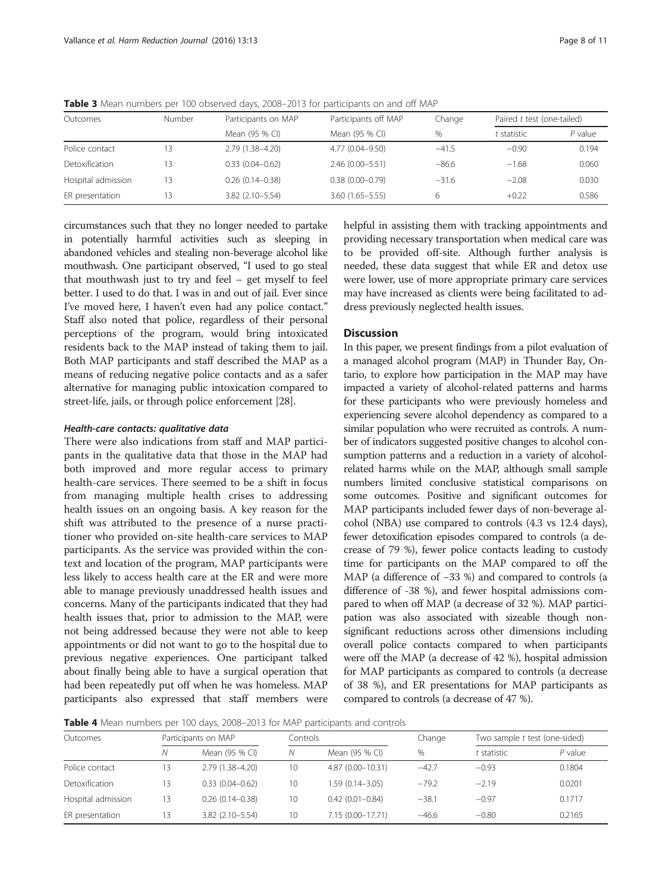| Outcomes           | Number | Participants on MAP | Participants off MAP | Change  | Paired t test (one-tailed) |           |
|--------------------|--------|---------------------|----------------------|---------|----------------------------|-----------|
|                    |        | Mean (95 % CI)      | Mean (95 % CI)       | %       | t statistic                | $P$ value |
| Police contact     | '3     | $2.79(1.38 - 4.20)$ | 4.77 (0.04-9.50)     | $-41.5$ | $-0.90$                    | 0.194     |
| Detoxification     | '3     | $0.33(0.04 - 0.62)$ | $2.46(0.00 - 5.51)$  | $-86.6$ | $-1.68$                    | 0.060     |
| Hospital admission | 13     | $0.26(0.14 - 0.38)$ | $0.38(0.00 - 0.79)$  | $-31.6$ | $-2.08$                    | 0.030     |
| ER presentation    | 13     | 3.82 (2.10-5.54)    | $3.60(1.65 - 5.55)$  | 6       | $+0.22$                    | 0.586     |

<span id="page-8-0"></span>Table 3 Mean numbers per 100 observed days, 2008–2013 for participants on and off MAP

circumstances such that they no longer needed to partake in potentially harmful activities such as sleeping in abandoned vehicles and stealing non-beverage alcohol like mouthwash. One participant observed, "I used to go steal that mouthwash just to try and feel – get myself to feel better. I used to do that. I was in and out of jail. Ever since I've moved here, I haven't even had any police contact." Staff also noted that police, regardless of their personal perceptions of the program, would bring intoxicated residents back to the MAP instead of taking them to jail. Both MAP participants and staff described the MAP as a means of reducing negative police contacts and as a safer alternative for managing public intoxication compared to street-life, jails, or through police enforcement [\[28\]](#page-11-0).

#### Health-care contacts: qualitative data

There were also indications from staff and MAP participants in the qualitative data that those in the MAP had both improved and more regular access to primary health-care services. There seemed to be a shift in focus from managing multiple health crises to addressing health issues on an ongoing basis. A key reason for the shift was attributed to the presence of a nurse practitioner who provided on-site health-care services to MAP participants. As the service was provided within the context and location of the program, MAP participants were less likely to access health care at the ER and were more able to manage previously unaddressed health issues and concerns. Many of the participants indicated that they had health issues that, prior to admission to the MAP, were not being addressed because they were not able to keep appointments or did not want to go to the hospital due to previous negative experiences. One participant talked about finally being able to have a surgical operation that had been repeatedly put off when he was homeless. MAP participants also expressed that staff members were helpful in assisting them with tracking appointments and providing necessary transportation when medical care was to be provided off-site. Although further analysis is needed, these data suggest that while ER and detox use were lower, use of more appropriate primary care services may have increased as clients were being facilitated to address previously neglected health issues.

# **Discussion**

In this paper, we present findings from a pilot evaluation of a managed alcohol program (MAP) in Thunder Bay, Ontario, to explore how participation in the MAP may have impacted a variety of alcohol-related patterns and harms for these participants who were previously homeless and experiencing severe alcohol dependency as compared to a similar population who were recruited as controls. A number of indicators suggested positive changes to alcohol consumption patterns and a reduction in a variety of alcoholrelated harms while on the MAP, although small sample numbers limited conclusive statistical comparisons on some outcomes. Positive and significant outcomes for MAP participants included fewer days of non-beverage alcohol (NBA) use compared to controls (4.3 vs 12.4 days), fewer detoxification episodes compared to controls (a decrease of 79 %), fewer police contacts leading to custody time for participants on the MAP compared to off the MAP (a difference of −33 %) and compared to controls (a difference of -38 %), and fewer hospital admissions compared to when off MAP (a decrease of 32 %). MAP participation was also associated with sizeable though nonsignificant reductions across other dimensions including overall police contacts compared to when participants were off the MAP (a decrease of 42 %), hospital admission for MAP participants as compared to controls (a decrease of 38 %), and ER presentations for MAP participants as compared to controls (a decrease of 47 %).

Table 4 Mean numbers per 100 days, 2008–2013 for MAP participants and controls

| Outcomes           | Participants on MAP |                     | Controls |                     | Change  | Two sample t test (one-sided) |           |
|--------------------|---------------------|---------------------|----------|---------------------|---------|-------------------------------|-----------|
|                    | N                   | Mean (95 % CI)      | Ν        | Mean (95 % CI)      | $\%$    | $t$ statistic                 | $P$ value |
| Police contact     | 13                  | $2.79(1.38 - 4.20)$ | 10       | 4.87 (0.00-10.31)   | $-42.7$ | $-0.93$                       | 0.1804    |
| Detoxification     | 13                  | $0.33(0.04 - 0.62)$ | 10       | 1.59 (0.14–3.05)    | $-79.2$ | $-2.19$                       | 0.0201    |
| Hospital admission | 13                  | $0.26(0.14 - 0.38)$ | 10       | $0.42(0.01 - 0.84)$ | $-38.1$ | $-0.97$                       | 0.1717    |
| ER presentation    | 13                  | $3.82(2.10 - 5.54)$ | 10       | 7.15 (0.00-17.71)   | $-46.6$ | $-0.80$                       | 0.2165    |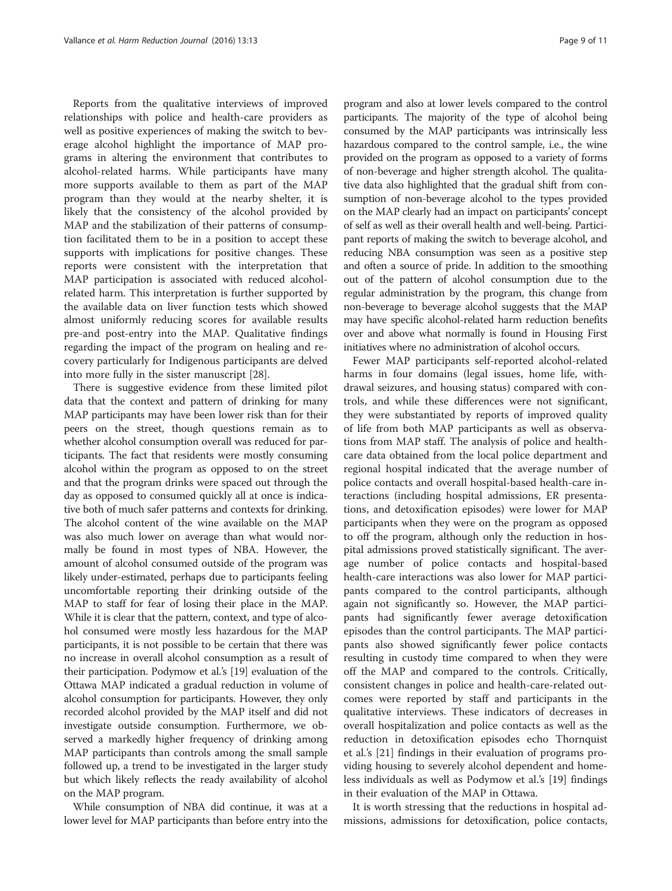Reports from the qualitative interviews of improved relationships with police and health-care providers as well as positive experiences of making the switch to beverage alcohol highlight the importance of MAP programs in altering the environment that contributes to alcohol-related harms. While participants have many more supports available to them as part of the MAP program than they would at the nearby shelter, it is likely that the consistency of the alcohol provided by MAP and the stabilization of their patterns of consumption facilitated them to be in a position to accept these supports with implications for positive changes. These reports were consistent with the interpretation that MAP participation is associated with reduced alcoholrelated harm. This interpretation is further supported by the available data on liver function tests which showed almost uniformly reducing scores for available results pre-and post-entry into the MAP. Qualitative findings regarding the impact of the program on healing and recovery particularly for Indigenous participants are delved into more fully in the sister manuscript [\[28\]](#page-11-0).

There is suggestive evidence from these limited pilot data that the context and pattern of drinking for many MAP participants may have been lower risk than for their peers on the street, though questions remain as to whether alcohol consumption overall was reduced for participants. The fact that residents were mostly consuming alcohol within the program as opposed to on the street and that the program drinks were spaced out through the day as opposed to consumed quickly all at once is indicative both of much safer patterns and contexts for drinking. The alcohol content of the wine available on the MAP was also much lower on average than what would normally be found in most types of NBA. However, the amount of alcohol consumed outside of the program was likely under-estimated, perhaps due to participants feeling uncomfortable reporting their drinking outside of the MAP to staff for fear of losing their place in the MAP. While it is clear that the pattern, context, and type of alcohol consumed were mostly less hazardous for the MAP participants, it is not possible to be certain that there was no increase in overall alcohol consumption as a result of their participation. Podymow et al.'s [\[19\]](#page-11-0) evaluation of the Ottawa MAP indicated a gradual reduction in volume of alcohol consumption for participants. However, they only recorded alcohol provided by the MAP itself and did not investigate outside consumption. Furthermore, we observed a markedly higher frequency of drinking among MAP participants than controls among the small sample followed up, a trend to be investigated in the larger study but which likely reflects the ready availability of alcohol on the MAP program.

While consumption of NBA did continue, it was at a lower level for MAP participants than before entry into the

program and also at lower levels compared to the control participants. The majority of the type of alcohol being consumed by the MAP participants was intrinsically less hazardous compared to the control sample, i.e., the wine provided on the program as opposed to a variety of forms of non-beverage and higher strength alcohol. The qualitative data also highlighted that the gradual shift from consumption of non-beverage alcohol to the types provided on the MAP clearly had an impact on participants' concept of self as well as their overall health and well-being. Participant reports of making the switch to beverage alcohol, and reducing NBA consumption was seen as a positive step and often a source of pride. In addition to the smoothing out of the pattern of alcohol consumption due to the regular administration by the program, this change from non-beverage to beverage alcohol suggests that the MAP may have specific alcohol-related harm reduction benefits over and above what normally is found in Housing First initiatives where no administration of alcohol occurs.

Fewer MAP participants self-reported alcohol-related harms in four domains (legal issues, home life, withdrawal seizures, and housing status) compared with controls, and while these differences were not significant, they were substantiated by reports of improved quality of life from both MAP participants as well as observations from MAP staff. The analysis of police and healthcare data obtained from the local police department and regional hospital indicated that the average number of police contacts and overall hospital-based health-care interactions (including hospital admissions, ER presentations, and detoxification episodes) were lower for MAP participants when they were on the program as opposed to off the program, although only the reduction in hospital admissions proved statistically significant. The average number of police contacts and hospital-based health-care interactions was also lower for MAP participants compared to the control participants, although again not significantly so. However, the MAP participants had significantly fewer average detoxification episodes than the control participants. The MAP participants also showed significantly fewer police contacts resulting in custody time compared to when they were off the MAP and compared to the controls. Critically, consistent changes in police and health-care-related outcomes were reported by staff and participants in the qualitative interviews. These indicators of decreases in overall hospitalization and police contacts as well as the reduction in detoxification episodes echo Thornquist et al.'s [\[21](#page-11-0)] findings in their evaluation of programs providing housing to severely alcohol dependent and homeless individuals as well as Podymow et al.'s [[19](#page-11-0)] findings in their evaluation of the MAP in Ottawa.

It is worth stressing that the reductions in hospital admissions, admissions for detoxification, police contacts,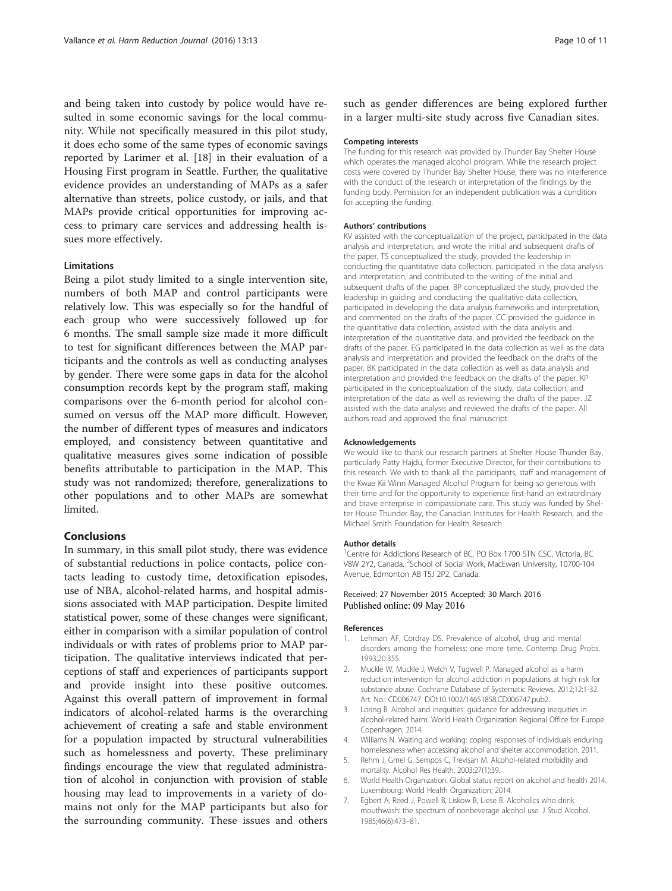<span id="page-10-0"></span>and being taken into custody by police would have resulted in some economic savings for the local community. While not specifically measured in this pilot study, it does echo some of the same types of economic savings reported by Larimer et al. [[18\]](#page-11-0) in their evaluation of a Housing First program in Seattle. Further, the qualitative evidence provides an understanding of MAPs as a safer alternative than streets, police custody, or jails, and that MAPs provide critical opportunities for improving access to primary care services and addressing health issues more effectively.

#### **Limitations**

Being a pilot study limited to a single intervention site, numbers of both MAP and control participants were relatively low. This was especially so for the handful of each group who were successively followed up for 6 months. The small sample size made it more difficult to test for significant differences between the MAP participants and the controls as well as conducting analyses by gender. There were some gaps in data for the alcohol consumption records kept by the program staff, making comparisons over the 6-month period for alcohol consumed on versus off the MAP more difficult. However, the number of different types of measures and indicators employed, and consistency between quantitative and qualitative measures gives some indication of possible benefits attributable to participation in the MAP. This study was not randomized; therefore, generalizations to other populations and to other MAPs are somewhat limited.

# Conclusions

In summary, in this small pilot study, there was evidence of substantial reductions in police contacts, police contacts leading to custody time, detoxification episodes, use of NBA, alcohol-related harms, and hospital admissions associated with MAP participation. Despite limited statistical power, some of these changes were significant, either in comparison with a similar population of control individuals or with rates of problems prior to MAP participation. The qualitative interviews indicated that perceptions of staff and experiences of participants support and provide insight into these positive outcomes. Against this overall pattern of improvement in formal indicators of alcohol-related harms is the overarching achievement of creating a safe and stable environment for a population impacted by structural vulnerabilities such as homelessness and poverty. These preliminary findings encourage the view that regulated administration of alcohol in conjunction with provision of stable housing may lead to improvements in a variety of domains not only for the MAP participants but also for the surrounding community. These issues and others

such as gender differences are being explored further in a larger multi-site study across five Canadian sites.

#### Competing interests

The funding for this research was provided by Thunder Bay Shelter House which operates the managed alcohol program. While the research project costs were covered by Thunder Bay Shelter House, there was no interference with the conduct of the research or interpretation of the findings by the funding body. Permission for an independent publication was a condition for accepting the funding.

#### Authors' contributions

KV assisted with the conceptualization of the project, participated in the data analysis and interpretation, and wrote the initial and subsequent drafts of the paper. TS conceptualized the study, provided the leadership in conducting the quantitative data collection, participated in the data analysis and interpretation, and contributed to the writing of the initial and subsequent drafts of the paper. BP conceptualized the study, provided the leadership in guiding and conducting the qualitative data collection, participated in developing the data analysis frameworks and interpretation, and commented on the drafts of the paper. CC provided the guidance in the quantitative data collection, assisted with the data analysis and interpretation of the quantitative data, and provided the feedback on the drafts of the paper. EG participated in the data collection as well as the data analysis and interpretation and provided the feedback on the drafts of the paper. BK participated in the data collection as well as data analysis and interpretation and provided the feedback on the drafts of the paper. KP participated in the conceptualization of the study, data collection, and interpretation of the data as well as reviewing the drafts of the paper. JZ assisted with the data analysis and reviewed the drafts of the paper. All authors read and approved the final manuscript.

#### Acknowledgements

We would like to thank our research partners at Shelter House Thunder Bay, particularly Patty Hajdu, former Executive Director, for their contributions to this research. We wish to thank all the participants, staff and management of the Kwae Kii Winn Managed Alcohol Program for being so generous with their time and for the opportunity to experience first-hand an extraordinary and brave enterprise in compassionate care. This study was funded by Shelter House Thunder Bay, the Canadian Institutes for Health Research, and the Michael Smith Foundation for Health Research.

#### Author details

<sup>1</sup> Centre for Addictions Research of BC, PO Box 1700 STN CSC, Victoria, BC V8W 2Y2, Canada. <sup>2</sup>School of Social Work, MacEwan University, 10700-104 Avenue, Edmonton AB T5J 2P2, Canada.

#### Received: 27 November 2015 Accepted: 30 March 2016 Published online: 09 May 2016

#### References

- 1. Lehman AF, Cordray DS. Prevalence of alcohol, drug and mental disorders among the homeless: one more time. Contemp Drug Probs. 1993;20:355.
- 2. Muckle W, Muckle J, Welch V, Tugwell P. Managed alcohol as a harm reduction intervention for alcohol addiction in populations at high risk for substance abuse. Cochrane Database of Systematic Reviews. 2012;12:1-32. Art. No.: CD006747. DOI:[10.1002/14651858.CD006747.pub2](http://dx.doi.org/10.1002/14651858.CD006747.pub2).
- 3. Loring B. Alcohol and inequities: guidance for addressing inequities in alcohol-related harm. World Health Organization Regional Office for Europe: Copenhagen; 2014.
- 4. Williams N. Waiting and working: coping responses of individuals enduring homelessness when accessing alcohol and shelter accommodation. 2011.
- 5. Rehm J, Gmel G, Sempos C, Trevisan M. Alcohol-related morbidity and mortality. Alcohol Res Health. 2003;27(1):39.
- 6. World Health Organization. Global status report on alcohol and health 2014. Luxembourg: World Health Organization; 2014.
- 7. Egbert A, Reed J, Powell B, Liskow B, Liese B. Alcoholics who drink mouthwash: the spectrum of nonbeverage alcohol use. J Stud Alcohol. 1985;46(6):473–81.